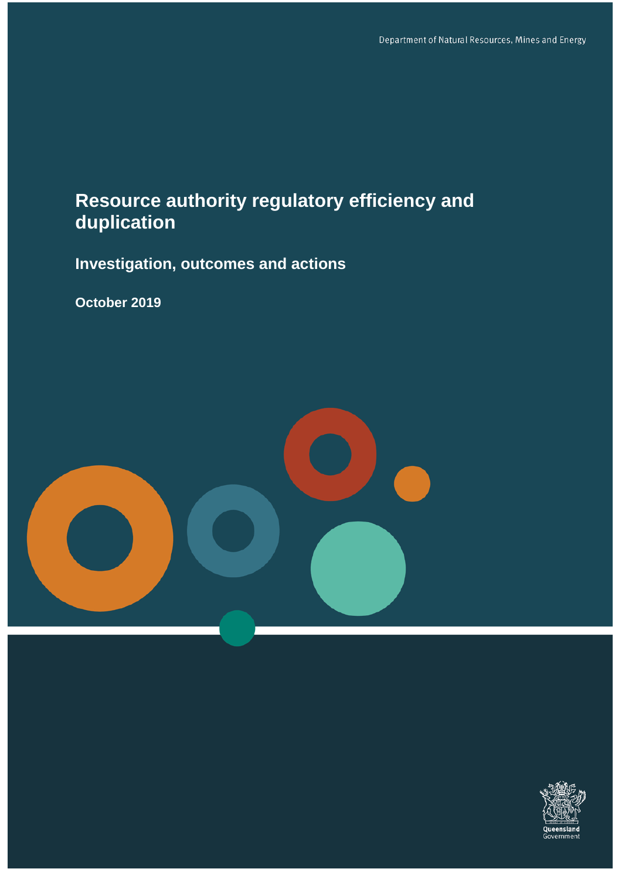# **Resource authority regulatory efficiency and duplication**

**Investigation, outcomes and actions**

**October 2019**



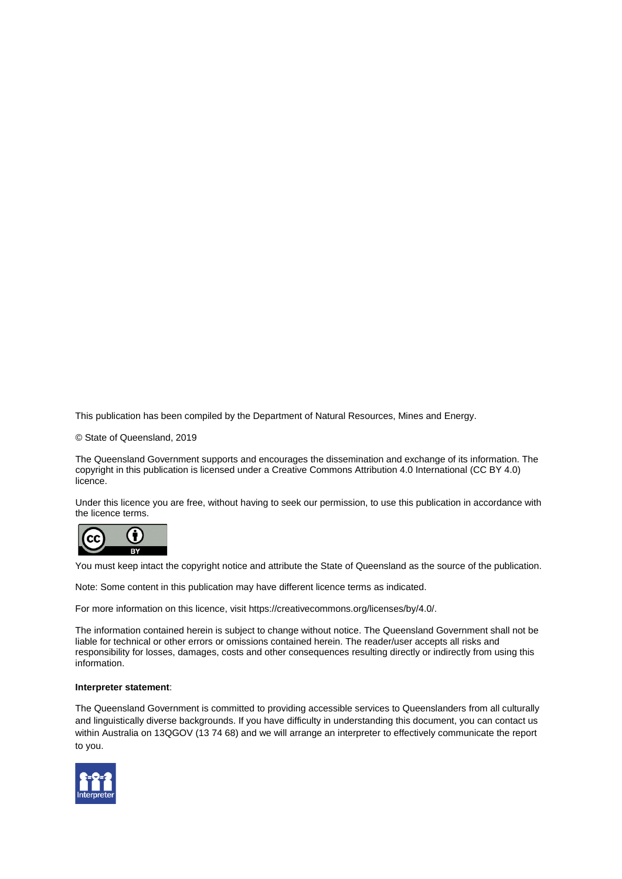This publication has been compiled by the Department of Natural Resources, Mines and Energy.

© State of Queensland, 2019

The Queensland Government supports and encourages the dissemination and exchange of its information. The copyright in this publication is licensed under a Creative Commons Attribution 4.0 International (CC BY 4.0) licence.

Under this licence you are free, without having to seek our permission, to use this publication in accordance with the licence terms.



You must keep intact the copyright notice and attribute the State of Queensland as the source of the publication.

Note: Some content in this publication may have different licence terms as indicated.

For more information on this licence, visit https://creativecommons.org/licenses/by/4.0/.

The information contained herein is subject to change without notice. The Queensland Government shall not be liable for technical or other errors or omissions contained herein. The reader/user accepts all risks and responsibility for losses, damages, costs and other consequences resulting directly or indirectly from using this information.

#### **Interpreter statement**:

The Queensland Government is committed to providing accessible services to Queenslanders from all culturally and linguistically diverse backgrounds. If you have difficulty in understanding this document, you can contact us within Australia on 13QGOV (13 74 68) and we will arrange an interpreter to effectively communicate the report to you.

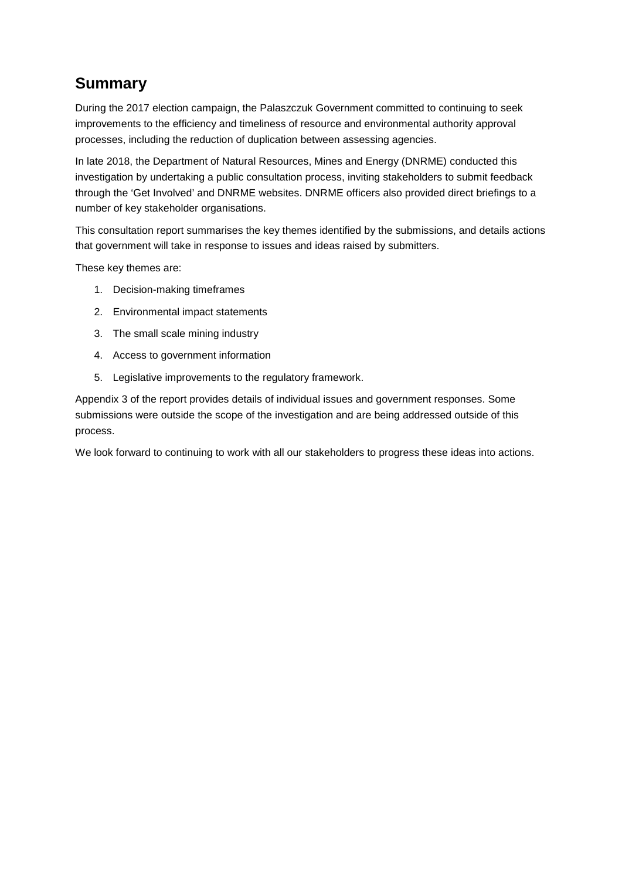# **Summary**

During the 2017 election campaign, the Palaszczuk Government committed to continuing to seek improvements to the efficiency and timeliness of resource and environmental authority approval processes, including the reduction of duplication between assessing agencies.

In late 2018, the Department of Natural Resources, Mines and Energy (DNRME) conducted this investigation by undertaking a public consultation process, inviting stakeholders to submit feedback through the 'Get Involved' and DNRME websites. DNRME officers also provided direct briefings to a number of key stakeholder organisations.

This consultation report summarises the key themes identified by the submissions, and details actions that government will take in response to issues and ideas raised by submitters.

These key themes are:

- 1. Decision-making timeframes
- 2. Environmental impact statements
- 3. The small scale mining industry
- 4. Access to government information
- 5. Legislative improvements to the regulatory framework.

Appendix 3 of the report provides details of individual issues and government responses. Some submissions were outside the scope of the investigation and are being addressed outside of this process.

We look forward to continuing to work with all our stakeholders to progress these ideas into actions.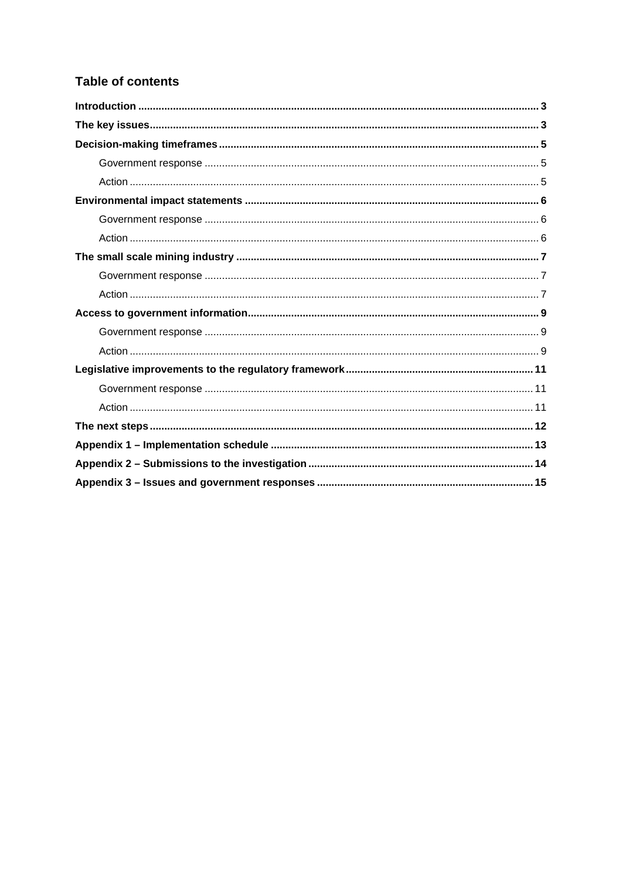## **Table of contents**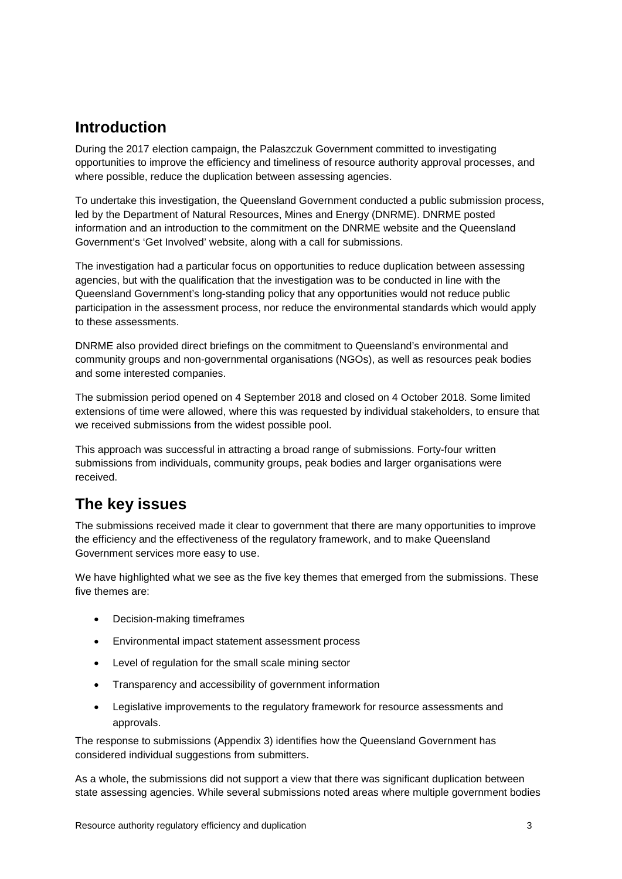# <span id="page-4-0"></span>**Introduction**

During the 2017 election campaign, the Palaszczuk Government committed to investigating opportunities to improve the efficiency and timeliness of resource authority approval processes, and where possible, reduce the duplication between assessing agencies.

To undertake this investigation, the Queensland Government conducted a public submission process, led by the Department of Natural Resources, Mines and Energy (DNRME). DNRME posted information and an introduction to the commitment on the DNRME website and the Queensland Government's 'Get Involved' website, along with a call for submissions.

The investigation had a particular focus on opportunities to reduce duplication between assessing agencies, but with the qualification that the investigation was to be conducted in line with the Queensland Government's long-standing policy that any opportunities would not reduce public participation in the assessment process, nor reduce the environmental standards which would apply to these assessments.

DNRME also provided direct briefings on the commitment to Queensland's environmental and community groups and non-governmental organisations (NGOs), as well as resources peak bodies and some interested companies.

The submission period opened on 4 September 2018 and closed on 4 October 2018. Some limited extensions of time were allowed, where this was requested by individual stakeholders, to ensure that we received submissions from the widest possible pool.

This approach was successful in attracting a broad range of submissions. Forty-four written submissions from individuals, community groups, peak bodies and larger organisations were received.

# <span id="page-4-1"></span>**The key issues**

The submissions received made it clear to government that there are many opportunities to improve the efficiency and the effectiveness of the regulatory framework, and to make Queensland Government services more easy to use.

We have highlighted what we see as the five key themes that emerged from the submissions. These five themes are:

- Decision-making timeframes
- Environmental impact statement assessment process
- Level of regulation for the small scale mining sector
- Transparency and accessibility of government information
- Legislative improvements to the regulatory framework for resource assessments and approvals.

The response to submissions (Appendix 3) identifies how the Queensland Government has considered individual suggestions from submitters.

As a whole, the submissions did not support a view that there was significant duplication between state assessing agencies. While several submissions noted areas where multiple government bodies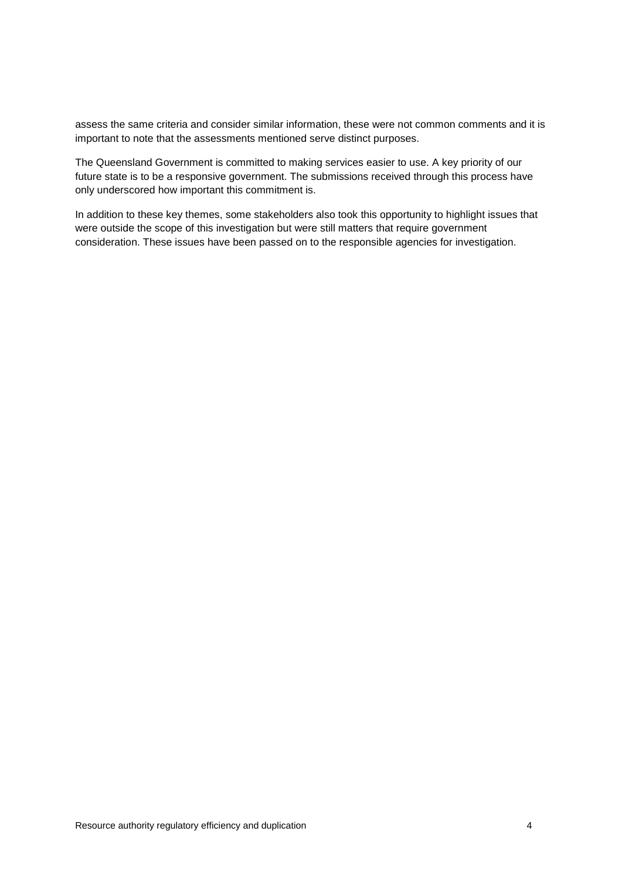assess the same criteria and consider similar information, these were not common comments and it is important to note that the assessments mentioned serve distinct purposes.

The Queensland Government is committed to making services easier to use. A key priority of our future state is to be a responsive government. The submissions received through this process have only underscored how important this commitment is.

In addition to these key themes, some stakeholders also took this opportunity to highlight issues that were outside the scope of this investigation but were still matters that require government consideration. These issues have been passed on to the responsible agencies for investigation.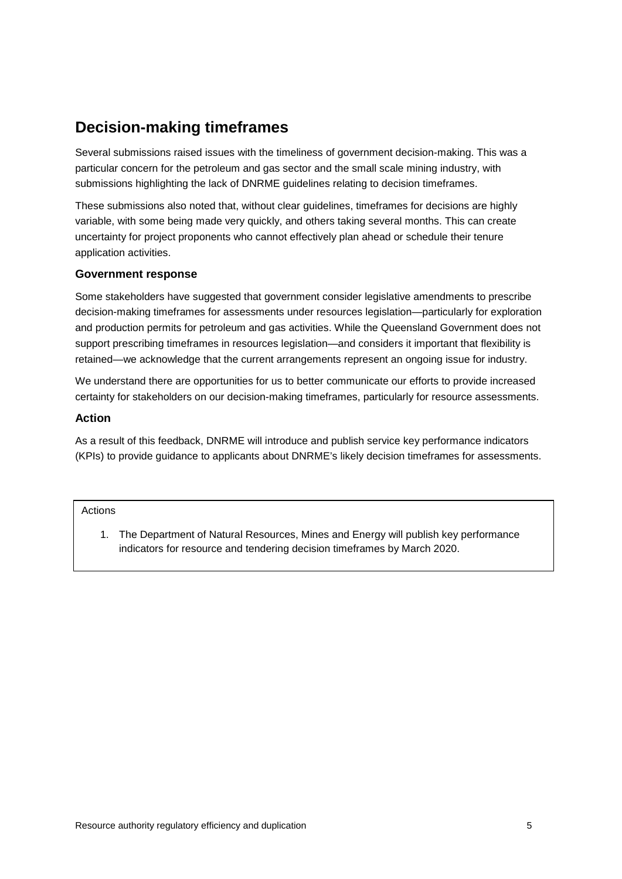# <span id="page-6-0"></span>**Decision-making timeframes**

Several submissions raised issues with the timeliness of government decision-making. This was a particular concern for the petroleum and gas sector and the small scale mining industry, with submissions highlighting the lack of DNRME guidelines relating to decision timeframes.

These submissions also noted that, without clear guidelines, timeframes for decisions are highly variable, with some being made very quickly, and others taking several months. This can create uncertainty for project proponents who cannot effectively plan ahead or schedule their tenure application activities.

## <span id="page-6-1"></span>**Government response**

Some stakeholders have suggested that government consider legislative amendments to prescribe decision-making timeframes for assessments under resources legislation—particularly for exploration and production permits for petroleum and gas activities. While the Queensland Government does not support prescribing timeframes in resources legislation—and considers it important that flexibility is retained—we acknowledge that the current arrangements represent an ongoing issue for industry.

We understand there are opportunities for us to better communicate our efforts to provide increased certainty for stakeholders on our decision-making timeframes, particularly for resource assessments.

### <span id="page-6-2"></span>**Action**

As a result of this feedback, DNRME will introduce and publish service key performance indicators (KPIs) to provide guidance to applicants about DNRME's likely decision timeframes for assessments.

#### Actions

1. The Department of Natural Resources, Mines and Energy will publish key performance indicators for resource and tendering decision timeframes by March 2020.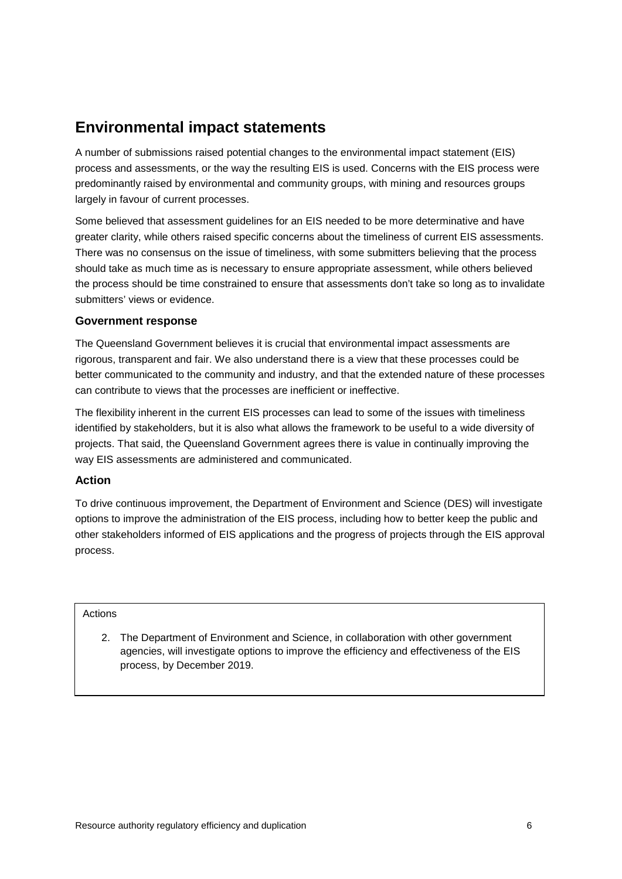# <span id="page-7-0"></span>**Environmental impact statements**

A number of submissions raised potential changes to the environmental impact statement (EIS) process and assessments, or the way the resulting EIS is used. Concerns with the EIS process were predominantly raised by environmental and community groups, with mining and resources groups largely in favour of current processes.

Some believed that assessment guidelines for an EIS needed to be more determinative and have greater clarity, while others raised specific concerns about the timeliness of current EIS assessments. There was no consensus on the issue of timeliness, with some submitters believing that the process should take as much time as is necessary to ensure appropriate assessment, while others believed the process should be time constrained to ensure that assessments don't take so long as to invalidate submitters' views or evidence.

## <span id="page-7-1"></span>**Government response**

The Queensland Government believes it is crucial that environmental impact assessments are rigorous, transparent and fair. We also understand there is a view that these processes could be better communicated to the community and industry, and that the extended nature of these processes can contribute to views that the processes are inefficient or ineffective.

The flexibility inherent in the current EIS processes can lead to some of the issues with timeliness identified by stakeholders, but it is also what allows the framework to be useful to a wide diversity of projects. That said, the Queensland Government agrees there is value in continually improving the way EIS assessments are administered and communicated.

### <span id="page-7-2"></span>**Action**

To drive continuous improvement, the Department of Environment and Science (DES) will investigate options to improve the administration of the EIS process, including how to better keep the public and other stakeholders informed of EIS applications and the progress of projects through the EIS approval process.

### Actions

2. The Department of Environment and Science, in collaboration with other government agencies, will investigate options to improve the efficiency and effectiveness of the EIS process, by December 2019.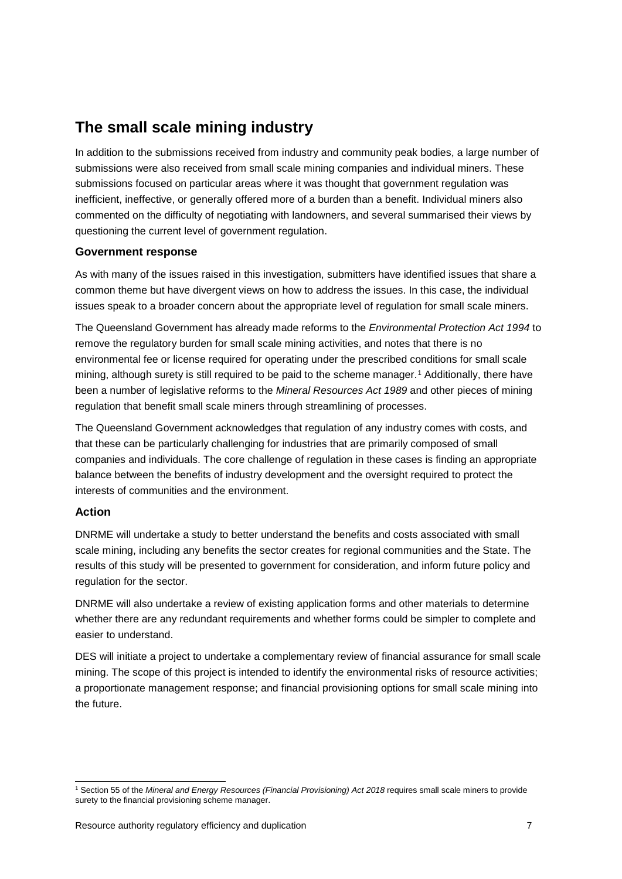## <span id="page-8-0"></span>**The small scale mining industry**

In addition to the submissions received from industry and community peak bodies, a large number of submissions were also received from small scale mining companies and individual miners. These submissions focused on particular areas where it was thought that government regulation was inefficient, ineffective, or generally offered more of a burden than a benefit. Individual miners also commented on the difficulty of negotiating with landowners, and several summarised their views by questioning the current level of government regulation.

## <span id="page-8-1"></span>**Government response**

As with many of the issues raised in this investigation, submitters have identified issues that share a common theme but have divergent views on how to address the issues. In this case, the individual issues speak to a broader concern about the appropriate level of regulation for small scale miners.

The Queensland Government has already made reforms to the *Environmental Protection Act 1994* to remove the regulatory burden for small scale mining activities, and notes that there is no environmental fee or license required for operating under the prescribed conditions for small scale mining, although surety is still required to be paid to the scheme manager.[1](#page-8-3) Additionally, there have been a number of legislative reforms to the *Mineral Resources Act 1989* and other pieces of mining regulation that benefit small scale miners through streamlining of processes.

The Queensland Government acknowledges that regulation of any industry comes with costs, and that these can be particularly challenging for industries that are primarily composed of small companies and individuals. The core challenge of regulation in these cases is finding an appropriate balance between the benefits of industry development and the oversight required to protect the interests of communities and the environment.

## <span id="page-8-2"></span>**Action**

DNRME will undertake a study to better understand the benefits and costs associated with small scale mining, including any benefits the sector creates for regional communities and the State. The results of this study will be presented to government for consideration, and inform future policy and regulation for the sector.

DNRME will also undertake a review of existing application forms and other materials to determine whether there are any redundant requirements and whether forms could be simpler to complete and easier to understand.

DES will initiate a project to undertake a complementary review of financial assurance for small scale mining. The scope of this project is intended to identify the environmental risks of resource activities; a proportionate management response; and financial provisioning options for small scale mining into the future.

<span id="page-8-3"></span> <sup>1</sup> Section 55 of the *Mineral and Energy Resources (Financial Provisioning) Act 2018* requires small scale miners to provide surety to the financial provisioning scheme manager.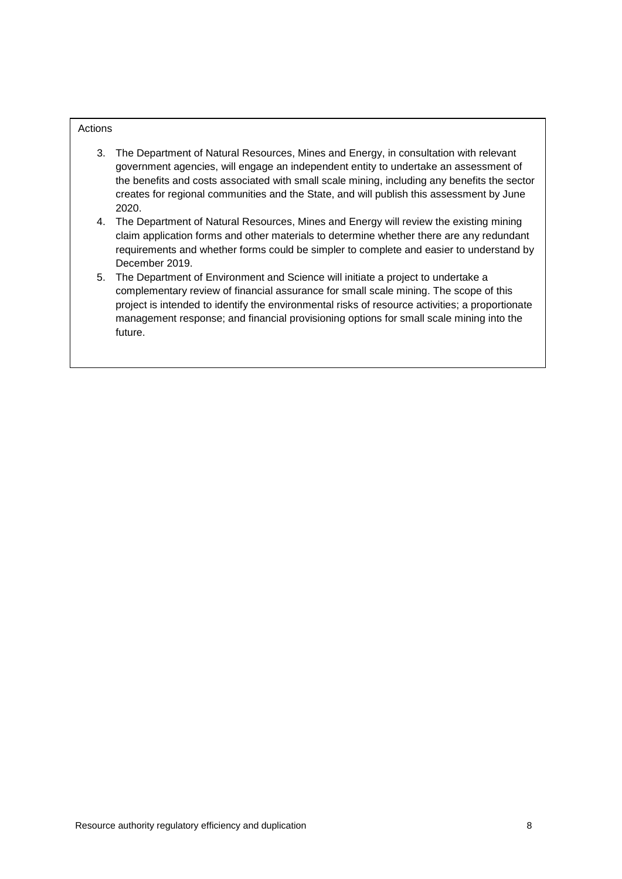#### Actions

- 3. The Department of Natural Resources, Mines and Energy, in consultation with relevant government agencies, will engage an independent entity to undertake an assessment of the benefits and costs associated with small scale mining, including any benefits the sector creates for regional communities and the State, and will publish this assessment by June 2020.
- 4. The Department of Natural Resources, Mines and Energy will review the existing mining claim application forms and other materials to determine whether there are any redundant requirements and whether forms could be simpler to complete and easier to understand by December 2019.
- 5. The Department of Environment and Science will initiate a project to undertake a complementary review of financial assurance for small scale mining. The scope of this project is intended to identify the environmental risks of resource activities; a proportionate management response; and financial provisioning options for small scale mining into the future.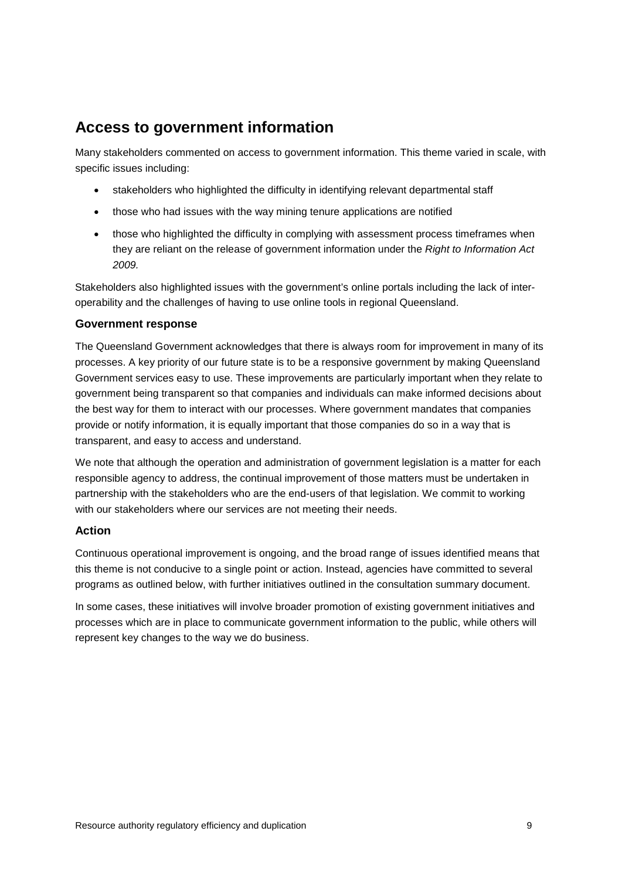# <span id="page-10-0"></span>**Access to government information**

Many stakeholders commented on access to government information. This theme varied in scale, with specific issues including:

- stakeholders who highlighted the difficulty in identifying relevant departmental staff
- those who had issues with the way mining tenure applications are notified
- those who highlighted the difficulty in complying with assessment process timeframes when they are reliant on the release of government information under the *Right to Information Act 2009.*

Stakeholders also highlighted issues with the government's online portals including the lack of interoperability and the challenges of having to use online tools in regional Queensland.

### <span id="page-10-1"></span>**Government response**

The Queensland Government acknowledges that there is always room for improvement in many of its processes. A key priority of our future state is to be a responsive government by making Queensland Government services easy to use. These improvements are particularly important when they relate to government being transparent so that companies and individuals can make informed decisions about the best way for them to interact with our processes. Where government mandates that companies provide or notify information, it is equally important that those companies do so in a way that is transparent, and easy to access and understand.

We note that although the operation and administration of government legislation is a matter for each responsible agency to address, the continual improvement of those matters must be undertaken in partnership with the stakeholders who are the end-users of that legislation. We commit to working with our stakeholders where our services are not meeting their needs.

### <span id="page-10-2"></span>**Action**

Continuous operational improvement is ongoing, and the broad range of issues identified means that this theme is not conducive to a single point or action. Instead, agencies have committed to several programs as outlined below, with further initiatives outlined in the consultation summary document.

In some cases, these initiatives will involve broader promotion of existing government initiatives and processes which are in place to communicate government information to the public, while others will represent key changes to the way we do business.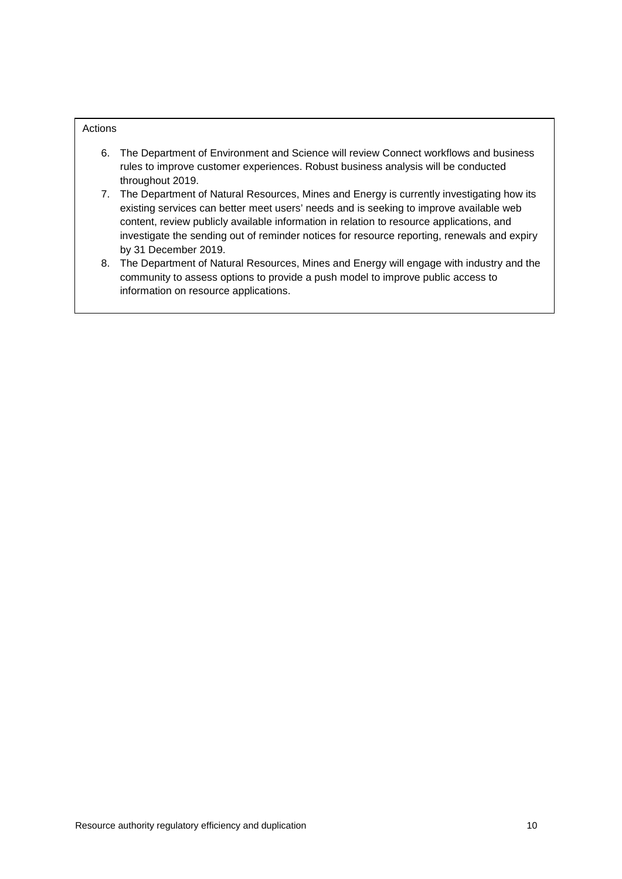#### Actions

- 6. The Department of Environment and Science will review Connect workflows and business rules to improve customer experiences. Robust business analysis will be conducted throughout 2019.
- 7. The Department of Natural Resources, Mines and Energy is currently investigating how its existing services can better meet users' needs and is seeking to improve available web content, review publicly available information in relation to resource applications, and investigate the sending out of reminder notices for resource reporting, renewals and expiry by 31 December 2019.
- 8. The Department of Natural Resources, Mines and Energy will engage with industry and the community to assess options to provide a push model to improve public access to information on resource applications.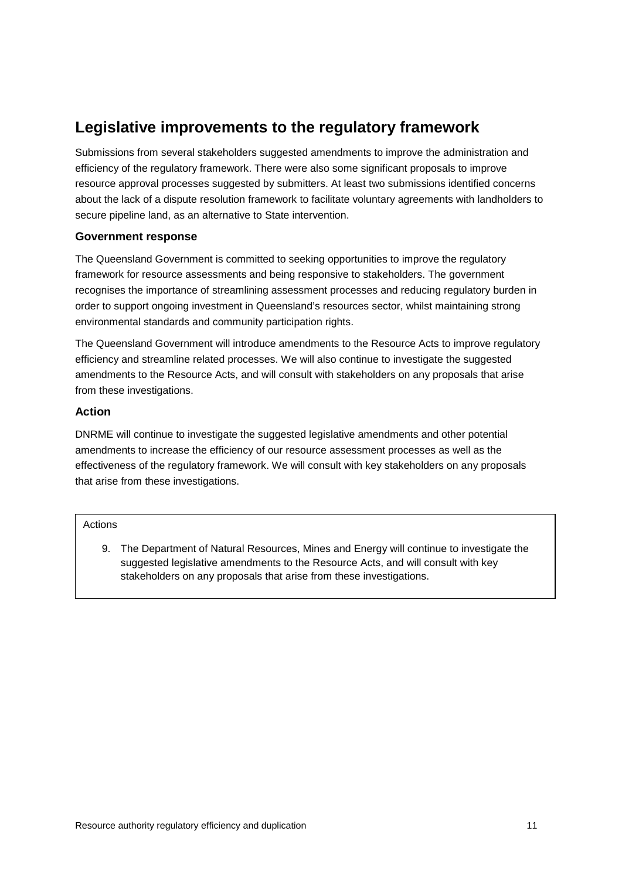# <span id="page-12-0"></span>**Legislative improvements to the regulatory framework**

Submissions from several stakeholders suggested amendments to improve the administration and efficiency of the regulatory framework. There were also some significant proposals to improve resource approval processes suggested by submitters. At least two submissions identified concerns about the lack of a dispute resolution framework to facilitate voluntary agreements with landholders to secure pipeline land, as an alternative to State intervention.

## <span id="page-12-1"></span>**Government response**

The Queensland Government is committed to seeking opportunities to improve the regulatory framework for resource assessments and being responsive to stakeholders. The government recognises the importance of streamlining assessment processes and reducing regulatory burden in order to support ongoing investment in Queensland's resources sector, whilst maintaining strong environmental standards and community participation rights.

The Queensland Government will introduce amendments to the Resource Acts to improve regulatory efficiency and streamline related processes. We will also continue to investigate the suggested amendments to the Resource Acts, and will consult with stakeholders on any proposals that arise from these investigations.

### <span id="page-12-2"></span>**Action**

DNRME will continue to investigate the suggested legislative amendments and other potential amendments to increase the efficiency of our resource assessment processes as well as the effectiveness of the regulatory framework. We will consult with key stakeholders on any proposals that arise from these investigations.

#### Actions

9. The Department of Natural Resources, Mines and Energy will continue to investigate the suggested legislative amendments to the Resource Acts, and will consult with key stakeholders on any proposals that arise from these investigations.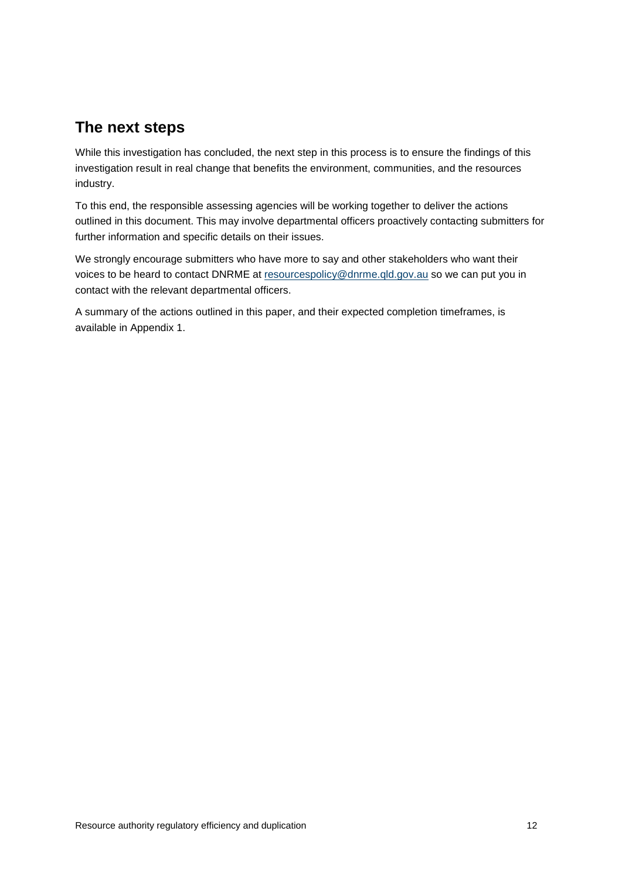## <span id="page-13-0"></span>**The next steps**

While this investigation has concluded, the next step in this process is to ensure the findings of this investigation result in real change that benefits the environment, communities, and the resources industry.

To this end, the responsible assessing agencies will be working together to deliver the actions outlined in this document. This may involve departmental officers proactively contacting submitters for further information and specific details on their issues.

We strongly encourage submitters who have more to say and other stakeholders who want their voices to be heard to contact DNRME at [resourcespolicy@dnrme.qld.gov.au](mailto:resourcespolicy@dnrme.qld.gov.au) so we can put you in contact with the relevant departmental officers.

A summary of the actions outlined in this paper, and their expected completion timeframes, is available in Appendix 1.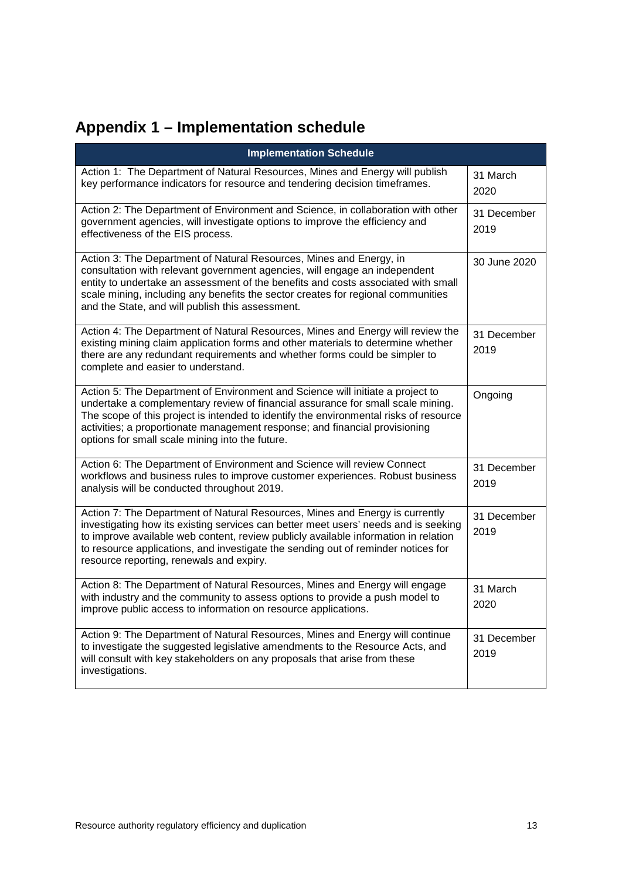# <span id="page-14-0"></span>**Appendix 1 – Implementation schedule**

| <b>Implementation Schedule</b>                                                                                                                                                                                                                                                                                                                                                               |                     |
|----------------------------------------------------------------------------------------------------------------------------------------------------------------------------------------------------------------------------------------------------------------------------------------------------------------------------------------------------------------------------------------------|---------------------|
| Action 1: The Department of Natural Resources, Mines and Energy will publish<br>key performance indicators for resource and tendering decision timeframes.                                                                                                                                                                                                                                   | 31 March<br>2020    |
| Action 2: The Department of Environment and Science, in collaboration with other<br>government agencies, will investigate options to improve the efficiency and<br>effectiveness of the EIS process.                                                                                                                                                                                         | 31 December<br>2019 |
| Action 3: The Department of Natural Resources, Mines and Energy, in<br>consultation with relevant government agencies, will engage an independent<br>entity to undertake an assessment of the benefits and costs associated with small<br>scale mining, including any benefits the sector creates for regional communities<br>and the State, and will publish this assessment.               | 30 June 2020        |
| Action 4: The Department of Natural Resources, Mines and Energy will review the<br>existing mining claim application forms and other materials to determine whether<br>there are any redundant requirements and whether forms could be simpler to<br>complete and easier to understand.                                                                                                      | 31 December<br>2019 |
| Action 5: The Department of Environment and Science will initiate a project to<br>undertake a complementary review of financial assurance for small scale mining.<br>The scope of this project is intended to identify the environmental risks of resource<br>activities; a proportionate management response; and financial provisioning<br>options for small scale mining into the future. | Ongoing             |
| Action 6: The Department of Environment and Science will review Connect<br>workflows and business rules to improve customer experiences. Robust business<br>analysis will be conducted throughout 2019.                                                                                                                                                                                      | 31 December<br>2019 |
| Action 7: The Department of Natural Resources, Mines and Energy is currently<br>investigating how its existing services can better meet users' needs and is seeking<br>to improve available web content, review publicly available information in relation<br>to resource applications, and investigate the sending out of reminder notices for<br>resource reporting, renewals and expiry.  | 31 December<br>2019 |
| Action 8: The Department of Natural Resources, Mines and Energy will engage<br>with industry and the community to assess options to provide a push model to<br>improve public access to information on resource applications.                                                                                                                                                                | 31 March<br>2020    |
| Action 9: The Department of Natural Resources, Mines and Energy will continue<br>to investigate the suggested legislative amendments to the Resource Acts, and<br>will consult with key stakeholders on any proposals that arise from these<br>investigations.                                                                                                                               | 31 December<br>2019 |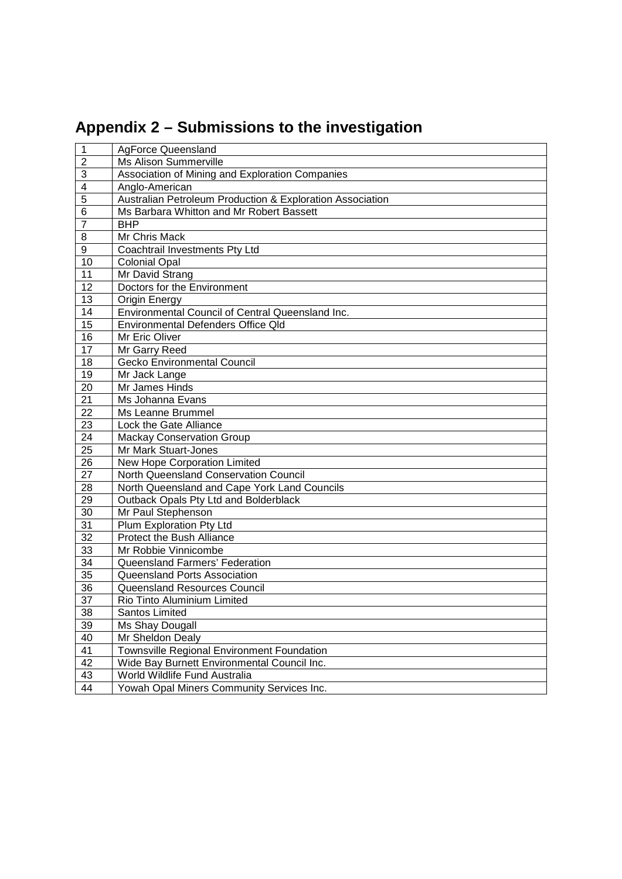# <span id="page-15-0"></span>**Appendix 2 – Submissions to the investigation**

| $\overline{1}$  | AgForce Queensland                                        |
|-----------------|-----------------------------------------------------------|
| $\overline{2}$  | <b>Ms Alison Summerville</b>                              |
| 3               | Association of Mining and Exploration Companies           |
| $\overline{4}$  | Anglo-American                                            |
| 5               | Australian Petroleum Production & Exploration Association |
| 6               | Ms Barbara Whitton and Mr Robert Bassett                  |
| $\overline{7}$  | <b>BHP</b>                                                |
| 8               | Mr Chris Mack                                             |
| 9               | Coachtrail Investments Pty Ltd                            |
| 10              | <b>Colonial Opal</b>                                      |
| 11              | Mr David Strang                                           |
| 12              | Doctors for the Environment                               |
| 13              | Origin Energy                                             |
| 14              | Environmental Council of Central Queensland Inc.          |
| 15              | Environmental Defenders Office Qld                        |
| 16              | Mr Eric Oliver                                            |
| 17              | Mr Garry Reed                                             |
| 18              | Gecko Environmental Council                               |
| 19              | Mr Jack Lange                                             |
| 20              | Mr James Hinds                                            |
| 21              | Ms Johanna Evans                                          |
| 22              | Ms Leanne Brummel                                         |
| 23              | Lock the Gate Alliance                                    |
| $\overline{24}$ | <b>Mackay Conservation Group</b>                          |
| 25              | Mr Mark Stuart-Jones                                      |
| $\overline{26}$ | New Hope Corporation Limited                              |
| $\overline{27}$ | North Queensland Conservation Council                     |
| 28              | North Queensland and Cape York Land Councils              |
| 29              | Outback Opals Pty Ltd and Bolderblack                     |
| 30              | Mr Paul Stephenson                                        |
| 31              | Plum Exploration Pty Ltd                                  |
| 32              | Protect the Bush Alliance                                 |
| 33              | Mr Robbie Vinnicombe                                      |
| $\overline{34}$ | Queensland Farmers' Federation                            |
| 35              | Queensland Ports Association                              |
| 36              | Queensland Resources Council                              |
| 37              | Rio Tinto Aluminium Limited                               |
| 38              | Santos Limited                                            |
| 39              | Ms Shay Dougall                                           |
| 40              | Mr Sheldon Dealy                                          |
| 41              | Townsville Regional Environment Foundation                |
| 42              | Wide Bay Burnett Environmental Council Inc.               |
| 43              | World Wildlife Fund Australia                             |
| $\overline{44}$ | Yowah Opal Miners Community Services Inc.                 |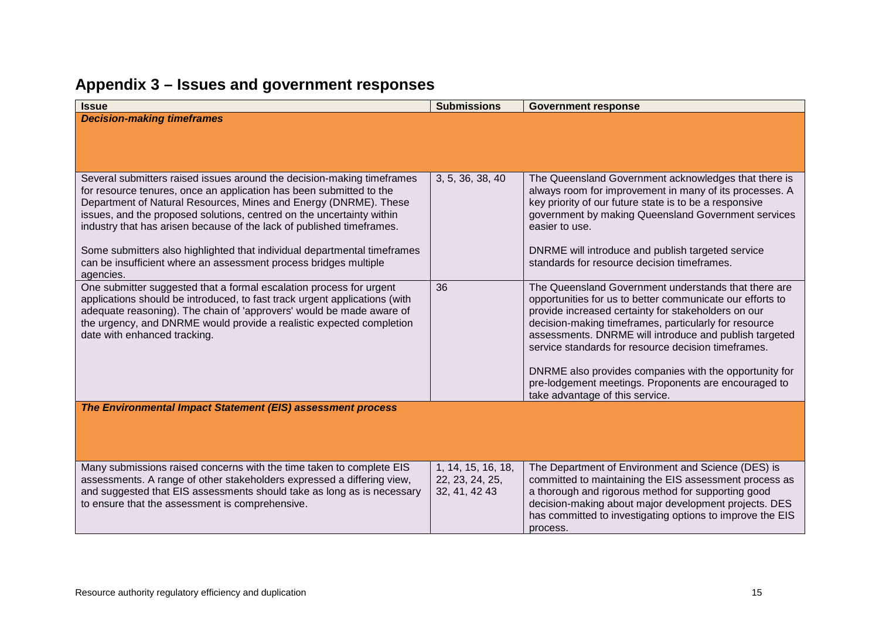<span id="page-16-0"></span>

| <b>Decision-making timeframes</b><br>3, 5, 36, 38, 40<br>Several submitters raised issues around the decision-making timeframes<br>The Queensland Government acknowledges that there is<br>for resource tenures, once an application has been submitted to the<br>always room for improvement in many of its processes. A<br>Department of Natural Resources, Mines and Energy (DNRME). These<br>key priority of our future state is to be a responsive<br>issues, and the proposed solutions, centred on the uncertainty within<br>government by making Queensland Government services<br>industry that has arisen because of the lack of published timeframes.<br>easier to use.<br>DNRME will introduce and publish targeted service<br>Some submitters also highlighted that individual departmental timeframes<br>can be insufficient where an assessment process bridges multiple<br>standards for resource decision timeframes.<br>agencies.<br>One submitter suggested that a formal escalation process for urgent<br>36<br>The Queensland Government understands that there are<br>applications should be introduced, to fast track urgent applications (with<br>opportunities for us to better communicate our efforts to<br>adequate reasoning). The chain of 'approvers' would be made aware of<br>provide increased certainty for stakeholders on our<br>the urgency, and DNRME would provide a realistic expected completion<br>decision-making timeframes, particularly for resource<br>date with enhanced tracking.<br>assessments. DNRME will introduce and publish targeted<br>service standards for resource decision timeframes.<br>DNRME also provides companies with the opportunity for<br>pre-lodgement meetings. Proponents are encouraged to |
|------------------------------------------------------------------------------------------------------------------------------------------------------------------------------------------------------------------------------------------------------------------------------------------------------------------------------------------------------------------------------------------------------------------------------------------------------------------------------------------------------------------------------------------------------------------------------------------------------------------------------------------------------------------------------------------------------------------------------------------------------------------------------------------------------------------------------------------------------------------------------------------------------------------------------------------------------------------------------------------------------------------------------------------------------------------------------------------------------------------------------------------------------------------------------------------------------------------------------------------------------------------------------------------------------------------------------------------------------------------------------------------------------------------------------------------------------------------------------------------------------------------------------------------------------------------------------------------------------------------------------------------------------------------------------------------------------------------------------------------------------------------------|
|                                                                                                                                                                                                                                                                                                                                                                                                                                                                                                                                                                                                                                                                                                                                                                                                                                                                                                                                                                                                                                                                                                                                                                                                                                                                                                                                                                                                                                                                                                                                                                                                                                                                                                                                                                        |
|                                                                                                                                                                                                                                                                                                                                                                                                                                                                                                                                                                                                                                                                                                                                                                                                                                                                                                                                                                                                                                                                                                                                                                                                                                                                                                                                                                                                                                                                                                                                                                                                                                                                                                                                                                        |
|                                                                                                                                                                                                                                                                                                                                                                                                                                                                                                                                                                                                                                                                                                                                                                                                                                                                                                                                                                                                                                                                                                                                                                                                                                                                                                                                                                                                                                                                                                                                                                                                                                                                                                                                                                        |
|                                                                                                                                                                                                                                                                                                                                                                                                                                                                                                                                                                                                                                                                                                                                                                                                                                                                                                                                                                                                                                                                                                                                                                                                                                                                                                                                                                                                                                                                                                                                                                                                                                                                                                                                                                        |
|                                                                                                                                                                                                                                                                                                                                                                                                                                                                                                                                                                                                                                                                                                                                                                                                                                                                                                                                                                                                                                                                                                                                                                                                                                                                                                                                                                                                                                                                                                                                                                                                                                                                                                                                                                        |
|                                                                                                                                                                                                                                                                                                                                                                                                                                                                                                                                                                                                                                                                                                                                                                                                                                                                                                                                                                                                                                                                                                                                                                                                                                                                                                                                                                                                                                                                                                                                                                                                                                                                                                                                                                        |
|                                                                                                                                                                                                                                                                                                                                                                                                                                                                                                                                                                                                                                                                                                                                                                                                                                                                                                                                                                                                                                                                                                                                                                                                                                                                                                                                                                                                                                                                                                                                                                                                                                                                                                                                                                        |
|                                                                                                                                                                                                                                                                                                                                                                                                                                                                                                                                                                                                                                                                                                                                                                                                                                                                                                                                                                                                                                                                                                                                                                                                                                                                                                                                                                                                                                                                                                                                                                                                                                                                                                                                                                        |
|                                                                                                                                                                                                                                                                                                                                                                                                                                                                                                                                                                                                                                                                                                                                                                                                                                                                                                                                                                                                                                                                                                                                                                                                                                                                                                                                                                                                                                                                                                                                                                                                                                                                                                                                                                        |
|                                                                                                                                                                                                                                                                                                                                                                                                                                                                                                                                                                                                                                                                                                                                                                                                                                                                                                                                                                                                                                                                                                                                                                                                                                                                                                                                                                                                                                                                                                                                                                                                                                                                                                                                                                        |
|                                                                                                                                                                                                                                                                                                                                                                                                                                                                                                                                                                                                                                                                                                                                                                                                                                                                                                                                                                                                                                                                                                                                                                                                                                                                                                                                                                                                                                                                                                                                                                                                                                                                                                                                                                        |
|                                                                                                                                                                                                                                                                                                                                                                                                                                                                                                                                                                                                                                                                                                                                                                                                                                                                                                                                                                                                                                                                                                                                                                                                                                                                                                                                                                                                                                                                                                                                                                                                                                                                                                                                                                        |
|                                                                                                                                                                                                                                                                                                                                                                                                                                                                                                                                                                                                                                                                                                                                                                                                                                                                                                                                                                                                                                                                                                                                                                                                                                                                                                                                                                                                                                                                                                                                                                                                                                                                                                                                                                        |
|                                                                                                                                                                                                                                                                                                                                                                                                                                                                                                                                                                                                                                                                                                                                                                                                                                                                                                                                                                                                                                                                                                                                                                                                                                                                                                                                                                                                                                                                                                                                                                                                                                                                                                                                                                        |
|                                                                                                                                                                                                                                                                                                                                                                                                                                                                                                                                                                                                                                                                                                                                                                                                                                                                                                                                                                                                                                                                                                                                                                                                                                                                                                                                                                                                                                                                                                                                                                                                                                                                                                                                                                        |
|                                                                                                                                                                                                                                                                                                                                                                                                                                                                                                                                                                                                                                                                                                                                                                                                                                                                                                                                                                                                                                                                                                                                                                                                                                                                                                                                                                                                                                                                                                                                                                                                                                                                                                                                                                        |
|                                                                                                                                                                                                                                                                                                                                                                                                                                                                                                                                                                                                                                                                                                                                                                                                                                                                                                                                                                                                                                                                                                                                                                                                                                                                                                                                                                                                                                                                                                                                                                                                                                                                                                                                                                        |
| take advantage of this service.                                                                                                                                                                                                                                                                                                                                                                                                                                                                                                                                                                                                                                                                                                                                                                                                                                                                                                                                                                                                                                                                                                                                                                                                                                                                                                                                                                                                                                                                                                                                                                                                                                                                                                                                        |
| The Environmental Impact Statement (EIS) assessment process                                                                                                                                                                                                                                                                                                                                                                                                                                                                                                                                                                                                                                                                                                                                                                                                                                                                                                                                                                                                                                                                                                                                                                                                                                                                                                                                                                                                                                                                                                                                                                                                                                                                                                            |
|                                                                                                                                                                                                                                                                                                                                                                                                                                                                                                                                                                                                                                                                                                                                                                                                                                                                                                                                                                                                                                                                                                                                                                                                                                                                                                                                                                                                                                                                                                                                                                                                                                                                                                                                                                        |
|                                                                                                                                                                                                                                                                                                                                                                                                                                                                                                                                                                                                                                                                                                                                                                                                                                                                                                                                                                                                                                                                                                                                                                                                                                                                                                                                                                                                                                                                                                                                                                                                                                                                                                                                                                        |
| Many submissions raised concerns with the time taken to complete EIS<br>The Department of Environment and Science (DES) is<br>1, 14, 15, 16, 18,                                                                                                                                                                                                                                                                                                                                                                                                                                                                                                                                                                                                                                                                                                                                                                                                                                                                                                                                                                                                                                                                                                                                                                                                                                                                                                                                                                                                                                                                                                                                                                                                                       |
| assessments. A range of other stakeholders expressed a differing view,<br>22, 23, 24, 25,<br>committed to maintaining the EIS assessment process as                                                                                                                                                                                                                                                                                                                                                                                                                                                                                                                                                                                                                                                                                                                                                                                                                                                                                                                                                                                                                                                                                                                                                                                                                                                                                                                                                                                                                                                                                                                                                                                                                    |
| and suggested that EIS assessments should take as long as is necessary<br>a thorough and rigorous method for supporting good<br>32, 41, 42 43                                                                                                                                                                                                                                                                                                                                                                                                                                                                                                                                                                                                                                                                                                                                                                                                                                                                                                                                                                                                                                                                                                                                                                                                                                                                                                                                                                                                                                                                                                                                                                                                                          |
| to ensure that the assessment is comprehensive.<br>decision-making about major development projects. DES<br>has committed to investigating options to improve the EIS                                                                                                                                                                                                                                                                                                                                                                                                                                                                                                                                                                                                                                                                                                                                                                                                                                                                                                                                                                                                                                                                                                                                                                                                                                                                                                                                                                                                                                                                                                                                                                                                  |
| process.                                                                                                                                                                                                                                                                                                                                                                                                                                                                                                                                                                                                                                                                                                                                                                                                                                                                                                                                                                                                                                                                                                                                                                                                                                                                                                                                                                                                                                                                                                                                                                                                                                                                                                                                                               |

# **Appendix 3 – Issues and government responses**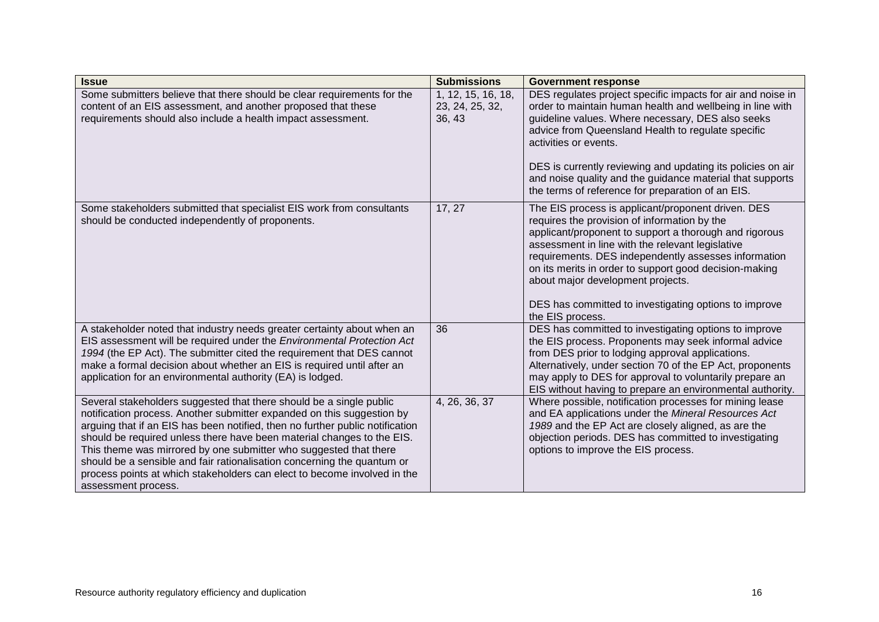| <b>Issue</b>                                                                                                                                                                                                                                                                                                                                                                                                                                                                                                                                                | <b>Submissions</b>                              | <b>Government response</b>                                                                                                                                                                                                                                                                                                                                                                                                                           |
|-------------------------------------------------------------------------------------------------------------------------------------------------------------------------------------------------------------------------------------------------------------------------------------------------------------------------------------------------------------------------------------------------------------------------------------------------------------------------------------------------------------------------------------------------------------|-------------------------------------------------|------------------------------------------------------------------------------------------------------------------------------------------------------------------------------------------------------------------------------------------------------------------------------------------------------------------------------------------------------------------------------------------------------------------------------------------------------|
| Some submitters believe that there should be clear requirements for the<br>content of an EIS assessment, and another proposed that these<br>requirements should also include a health impact assessment.                                                                                                                                                                                                                                                                                                                                                    | 1, 12, 15, 16, 18,<br>23, 24, 25, 32,<br>36, 43 | DES regulates project specific impacts for air and noise in<br>order to maintain human health and wellbeing in line with<br>guideline values. Where necessary, DES also seeks<br>advice from Queensland Health to regulate specific<br>activities or events.<br>DES is currently reviewing and updating its policies on air<br>and noise quality and the guidance material that supports<br>the terms of reference for preparation of an EIS.        |
| Some stakeholders submitted that specialist EIS work from consultants<br>should be conducted independently of proponents.                                                                                                                                                                                                                                                                                                                                                                                                                                   | 17, 27                                          | The EIS process is applicant/proponent driven. DES<br>requires the provision of information by the<br>applicant/proponent to support a thorough and rigorous<br>assessment in line with the relevant legislative<br>requirements. DES independently assesses information<br>on its merits in order to support good decision-making<br>about major development projects.<br>DES has committed to investigating options to improve<br>the EIS process. |
| A stakeholder noted that industry needs greater certainty about when an<br>EIS assessment will be required under the Environmental Protection Act<br>1994 (the EP Act). The submitter cited the requirement that DES cannot<br>make a formal decision about whether an EIS is required until after an<br>application for an environmental authority (EA) is lodged.                                                                                                                                                                                         | 36                                              | DES has committed to investigating options to improve<br>the EIS process. Proponents may seek informal advice<br>from DES prior to lodging approval applications.<br>Alternatively, under section 70 of the EP Act, proponents<br>may apply to DES for approval to voluntarily prepare an<br>EIS without having to prepare an environmental authority.                                                                                               |
| Several stakeholders suggested that there should be a single public<br>notification process. Another submitter expanded on this suggestion by<br>arguing that if an EIS has been notified, then no further public notification<br>should be required unless there have been material changes to the EIS.<br>This theme was mirrored by one submitter who suggested that there<br>should be a sensible and fair rationalisation concerning the quantum or<br>process points at which stakeholders can elect to become involved in the<br>assessment process. | 4, 26, 36, 37                                   | Where possible, notification processes for mining lease<br>and EA applications under the Mineral Resources Act<br>1989 and the EP Act are closely aligned, as are the<br>objection periods. DES has committed to investigating<br>options to improve the EIS process.                                                                                                                                                                                |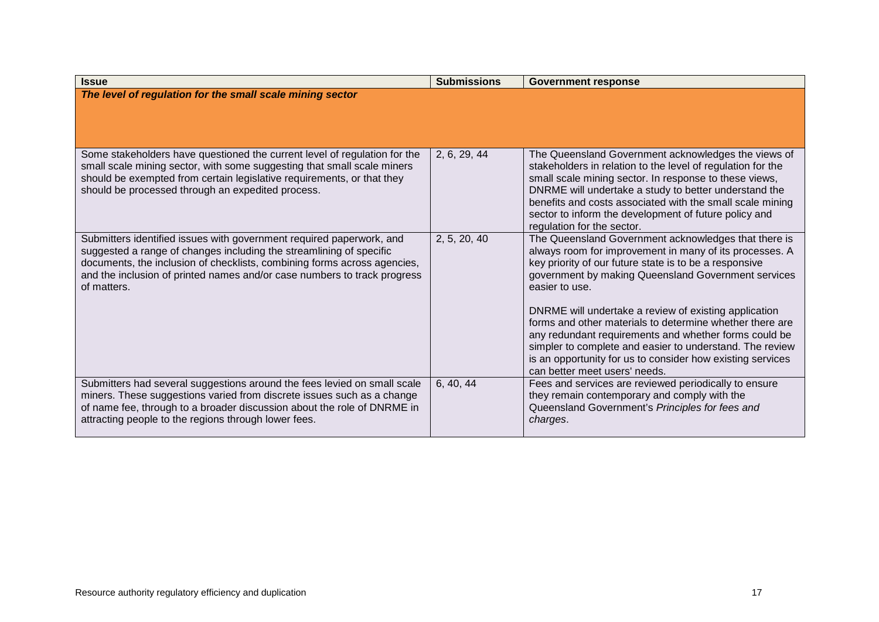| <b>Issue</b>                                                                                                                                                                                                                                                                                                       | <b>Submissions</b> | <b>Government response</b>                                                                                                                                                                                                                                                                                                                                                                |
|--------------------------------------------------------------------------------------------------------------------------------------------------------------------------------------------------------------------------------------------------------------------------------------------------------------------|--------------------|-------------------------------------------------------------------------------------------------------------------------------------------------------------------------------------------------------------------------------------------------------------------------------------------------------------------------------------------------------------------------------------------|
| The level of regulation for the small scale mining sector                                                                                                                                                                                                                                                          |                    |                                                                                                                                                                                                                                                                                                                                                                                           |
| Some stakeholders have questioned the current level of regulation for the<br>small scale mining sector, with some suggesting that small scale miners<br>should be exempted from certain legislative requirements, or that they<br>should be processed through an expedited process.                                | 2, 6, 29, 44       | The Queensland Government acknowledges the views of<br>stakeholders in relation to the level of regulation for the<br>small scale mining sector. In response to these views,<br>DNRME will undertake a study to better understand the<br>benefits and costs associated with the small scale mining<br>sector to inform the development of future policy and<br>regulation for the sector. |
| Submitters identified issues with government required paperwork, and<br>suggested a range of changes including the streamlining of specific<br>documents, the inclusion of checklists, combining forms across agencies,<br>and the inclusion of printed names and/or case numbers to track progress<br>of matters. | 2, 5, 20, 40       | The Queensland Government acknowledges that there is<br>always room for improvement in many of its processes. A<br>key priority of our future state is to be a responsive<br>government by making Queensland Government services<br>easier to use.<br>DNRME will undertake a review of existing application<br>forms and other materials to determine whether there are                   |
|                                                                                                                                                                                                                                                                                                                    |                    | any redundant requirements and whether forms could be<br>simpler to complete and easier to understand. The review<br>is an opportunity for us to consider how existing services<br>can better meet users' needs.                                                                                                                                                                          |
| Submitters had several suggestions around the fees levied on small scale<br>miners. These suggestions varied from discrete issues such as a change<br>of name fee, through to a broader discussion about the role of DNRME in<br>attracting people to the regions through lower fees.                              | 6, 40, 44          | Fees and services are reviewed periodically to ensure<br>they remain contemporary and comply with the<br>Queensland Government's Principles for fees and<br>charges.                                                                                                                                                                                                                      |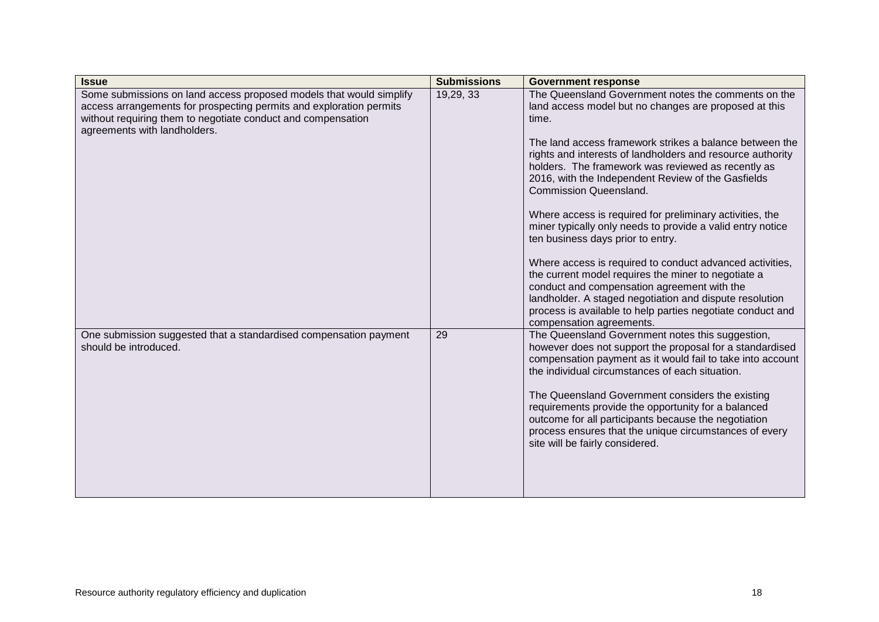| <b>Issue</b>                                                                                                                                                                                                                               | <b>Submissions</b> | <b>Government response</b>                                                                                                                                                                                                                                                                                                                                                                                                                                                                                                                                                                                                                                                                                                                                                                                                                                                        |
|--------------------------------------------------------------------------------------------------------------------------------------------------------------------------------------------------------------------------------------------|--------------------|-----------------------------------------------------------------------------------------------------------------------------------------------------------------------------------------------------------------------------------------------------------------------------------------------------------------------------------------------------------------------------------------------------------------------------------------------------------------------------------------------------------------------------------------------------------------------------------------------------------------------------------------------------------------------------------------------------------------------------------------------------------------------------------------------------------------------------------------------------------------------------------|
| Some submissions on land access proposed models that would simplify<br>access arrangements for prospecting permits and exploration permits<br>without requiring them to negotiate conduct and compensation<br>agreements with landholders. | 19,29, 33          | The Queensland Government notes the comments on the<br>land access model but no changes are proposed at this<br>time.<br>The land access framework strikes a balance between the<br>rights and interests of landholders and resource authority<br>holders. The framework was reviewed as recently as<br>2016, with the Independent Review of the Gasfields<br><b>Commission Queensland.</b><br>Where access is required for preliminary activities, the<br>miner typically only needs to provide a valid entry notice<br>ten business days prior to entry.<br>Where access is required to conduct advanced activities,<br>the current model requires the miner to negotiate a<br>conduct and compensation agreement with the<br>landholder. A staged negotiation and dispute resolution<br>process is available to help parties negotiate conduct and<br>compensation agreements. |
| One submission suggested that a standardised compensation payment<br>should be introduced.                                                                                                                                                 | 29                 | The Queensland Government notes this suggestion,<br>however does not support the proposal for a standardised<br>compensation payment as it would fail to take into account<br>the individual circumstances of each situation.<br>The Queensland Government considers the existing<br>requirements provide the opportunity for a balanced<br>outcome for all participants because the negotiation<br>process ensures that the unique circumstances of every<br>site will be fairly considered.                                                                                                                                                                                                                                                                                                                                                                                     |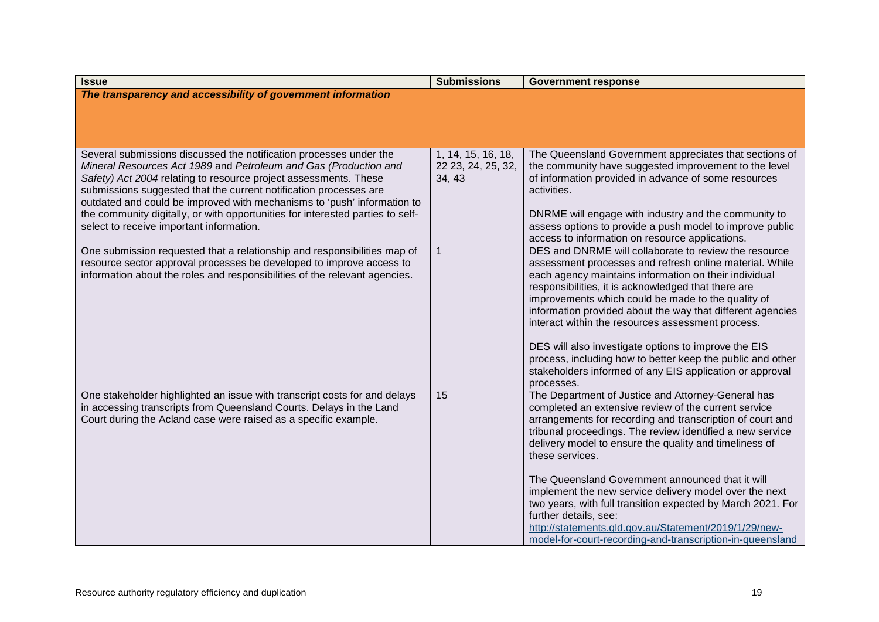| <b>Issue</b>                                                                                                                                                                                                                                                                                                                                                                                                                                                                             | <b>Submissions</b>                                 | <b>Government response</b>                                                                                                                                                                                                                                                                                                                                                                                                                                                                                                                                                                                                                    |
|------------------------------------------------------------------------------------------------------------------------------------------------------------------------------------------------------------------------------------------------------------------------------------------------------------------------------------------------------------------------------------------------------------------------------------------------------------------------------------------|----------------------------------------------------|-----------------------------------------------------------------------------------------------------------------------------------------------------------------------------------------------------------------------------------------------------------------------------------------------------------------------------------------------------------------------------------------------------------------------------------------------------------------------------------------------------------------------------------------------------------------------------------------------------------------------------------------------|
| The transparency and accessibility of government information                                                                                                                                                                                                                                                                                                                                                                                                                             |                                                    |                                                                                                                                                                                                                                                                                                                                                                                                                                                                                                                                                                                                                                               |
|                                                                                                                                                                                                                                                                                                                                                                                                                                                                                          |                                                    |                                                                                                                                                                                                                                                                                                                                                                                                                                                                                                                                                                                                                                               |
|                                                                                                                                                                                                                                                                                                                                                                                                                                                                                          |                                                    |                                                                                                                                                                                                                                                                                                                                                                                                                                                                                                                                                                                                                                               |
| Several submissions discussed the notification processes under the<br>Mineral Resources Act 1989 and Petroleum and Gas (Production and<br>Safety) Act 2004 relating to resource project assessments. These<br>submissions suggested that the current notification processes are<br>outdated and could be improved with mechanisms to 'push' information to<br>the community digitally, or with opportunities for interested parties to self-<br>select to receive important information. | 1, 14, 15, 16, 18,<br>22 23, 24, 25, 32,<br>34, 43 | The Queensland Government appreciates that sections of<br>the community have suggested improvement to the level<br>of information provided in advance of some resources<br>activities.<br>DNRME will engage with industry and the community to<br>assess options to provide a push model to improve public<br>access to information on resource applications.                                                                                                                                                                                                                                                                                 |
| One submission requested that a relationship and responsibilities map of<br>resource sector approval processes be developed to improve access to<br>information about the roles and responsibilities of the relevant agencies.                                                                                                                                                                                                                                                           | $\mathbf{1}$                                       | DES and DNRME will collaborate to review the resource<br>assessment processes and refresh online material. While<br>each agency maintains information on their individual<br>responsibilities, it is acknowledged that there are<br>improvements which could be made to the quality of<br>information provided about the way that different agencies<br>interact within the resources assessment process.<br>DES will also investigate options to improve the EIS<br>process, including how to better keep the public and other<br>stakeholders informed of any EIS application or approval<br>processes.                                     |
| One stakeholder highlighted an issue with transcript costs for and delays<br>in accessing transcripts from Queensland Courts. Delays in the Land<br>Court during the Acland case were raised as a specific example.                                                                                                                                                                                                                                                                      | $\overline{15}$                                    | The Department of Justice and Attorney-General has<br>completed an extensive review of the current service<br>arrangements for recording and transcription of court and<br>tribunal proceedings. The review identified a new service<br>delivery model to ensure the quality and timeliness of<br>these services.<br>The Queensland Government announced that it will<br>implement the new service delivery model over the next<br>two years, with full transition expected by March 2021. For<br>further details, see:<br>http://statements.qld.gov.au/Statement/2019/1/29/new-<br>model-for-court-recording-and-transcription-in-queensland |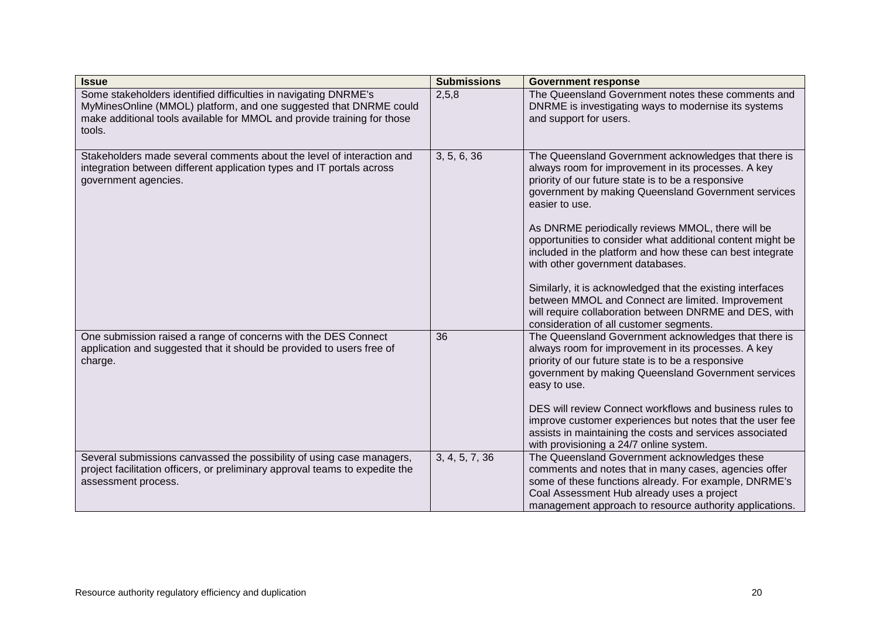| <b>Issue</b>                                                                                                                                                                                                              | <b>Submissions</b> | <b>Government response</b>                                                                                                                                                                                                                                                                                                                                                                                                                                                                                                                                                                                                                                                             |
|---------------------------------------------------------------------------------------------------------------------------------------------------------------------------------------------------------------------------|--------------------|----------------------------------------------------------------------------------------------------------------------------------------------------------------------------------------------------------------------------------------------------------------------------------------------------------------------------------------------------------------------------------------------------------------------------------------------------------------------------------------------------------------------------------------------------------------------------------------------------------------------------------------------------------------------------------------|
| Some stakeholders identified difficulties in navigating DNRME's<br>MyMinesOnline (MMOL) platform, and one suggested that DNRME could<br>make additional tools available for MMOL and provide training for those<br>tools. | 2,5,8              | The Queensland Government notes these comments and<br>DNRME is investigating ways to modernise its systems<br>and support for users.                                                                                                                                                                                                                                                                                                                                                                                                                                                                                                                                                   |
| Stakeholders made several comments about the level of interaction and<br>integration between different application types and IT portals across<br>government agencies.                                                    | 3, 5, 6, 36        | The Queensland Government acknowledges that there is<br>always room for improvement in its processes. A key<br>priority of our future state is to be a responsive<br>government by making Queensland Government services<br>easier to use.<br>As DNRME periodically reviews MMOL, there will be<br>opportunities to consider what additional content might be<br>included in the platform and how these can best integrate<br>with other government databases.<br>Similarly, it is acknowledged that the existing interfaces<br>between MMOL and Connect are limited. Improvement<br>will require collaboration between DNRME and DES, with<br>consideration of all customer segments. |
| One submission raised a range of concerns with the DES Connect<br>application and suggested that it should be provided to users free of<br>charge.                                                                        | 36                 | The Queensland Government acknowledges that there is<br>always room for improvement in its processes. A key<br>priority of our future state is to be a responsive<br>government by making Queensland Government services<br>easy to use.<br>DES will review Connect workflows and business rules to<br>improve customer experiences but notes that the user fee<br>assists in maintaining the costs and services associated<br>with provisioning a 24/7 online system.                                                                                                                                                                                                                 |
| Several submissions canvassed the possibility of using case managers,<br>project facilitation officers, or preliminary approval teams to expedite the<br>assessment process.                                              | 3, 4, 5, 7, 36     | The Queensland Government acknowledges these<br>comments and notes that in many cases, agencies offer<br>some of these functions already. For example, DNRME's<br>Coal Assessment Hub already uses a project<br>management approach to resource authority applications.                                                                                                                                                                                                                                                                                                                                                                                                                |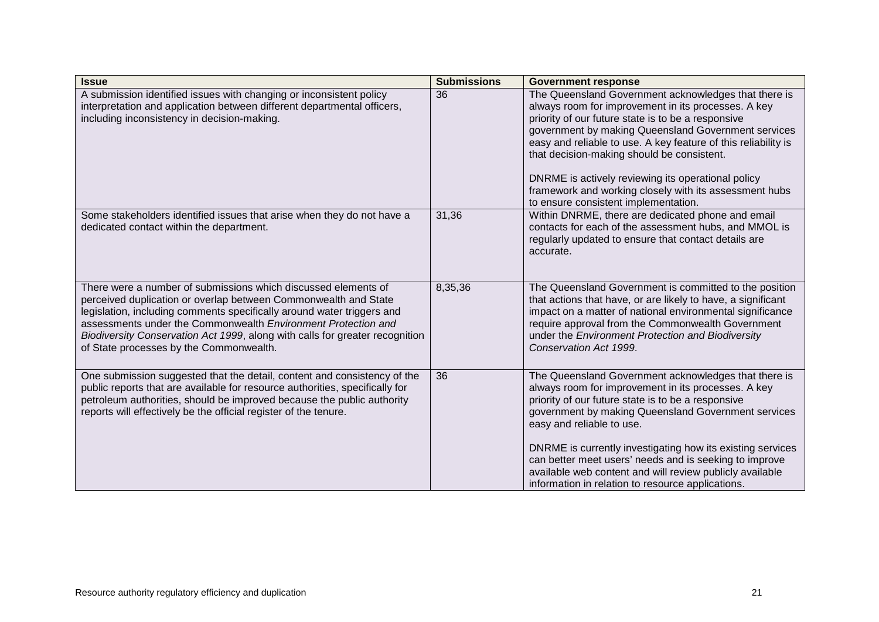| <b>Issue</b>                                                                                                                                                                                                                                                                                                                                                                                            | <b>Submissions</b> | <b>Government response</b>                                                                                                                                                                                                                                                                                                                                                                                                                                                                       |
|---------------------------------------------------------------------------------------------------------------------------------------------------------------------------------------------------------------------------------------------------------------------------------------------------------------------------------------------------------------------------------------------------------|--------------------|--------------------------------------------------------------------------------------------------------------------------------------------------------------------------------------------------------------------------------------------------------------------------------------------------------------------------------------------------------------------------------------------------------------------------------------------------------------------------------------------------|
| A submission identified issues with changing or inconsistent policy<br>interpretation and application between different departmental officers,<br>including inconsistency in decision-making.                                                                                                                                                                                                           | 36                 | The Queensland Government acknowledges that there is<br>always room for improvement in its processes. A key<br>priority of our future state is to be a responsive<br>government by making Queensland Government services<br>easy and reliable to use. A key feature of this reliability is<br>that decision-making should be consistent.<br>DNRME is actively reviewing its operational policy<br>framework and working closely with its assessment hubs<br>to ensure consistent implementation. |
| Some stakeholders identified issues that arise when they do not have a<br>dedicated contact within the department.                                                                                                                                                                                                                                                                                      | 31,36              | Within DNRME, there are dedicated phone and email<br>contacts for each of the assessment hubs, and MMOL is<br>regularly updated to ensure that contact details are<br>accurate.                                                                                                                                                                                                                                                                                                                  |
| There were a number of submissions which discussed elements of<br>perceived duplication or overlap between Commonwealth and State<br>legislation, including comments specifically around water triggers and<br>assessments under the Commonwealth Environment Protection and<br>Biodiversity Conservation Act 1999, along with calls for greater recognition<br>of State processes by the Commonwealth. | 8,35,36            | The Queensland Government is committed to the position<br>that actions that have, or are likely to have, a significant<br>impact on a matter of national environmental significance<br>require approval from the Commonwealth Government<br>under the Environment Protection and Biodiversity<br>Conservation Act 1999.                                                                                                                                                                          |
| One submission suggested that the detail, content and consistency of the<br>public reports that are available for resource authorities, specifically for<br>petroleum authorities, should be improved because the public authority<br>reports will effectively be the official register of the tenure.                                                                                                  | 36                 | The Queensland Government acknowledges that there is<br>always room for improvement in its processes. A key<br>priority of our future state is to be a responsive<br>government by making Queensland Government services<br>easy and reliable to use.<br>DNRME is currently investigating how its existing services<br>can better meet users' needs and is seeking to improve<br>available web content and will review publicly available<br>information in relation to resource applications.   |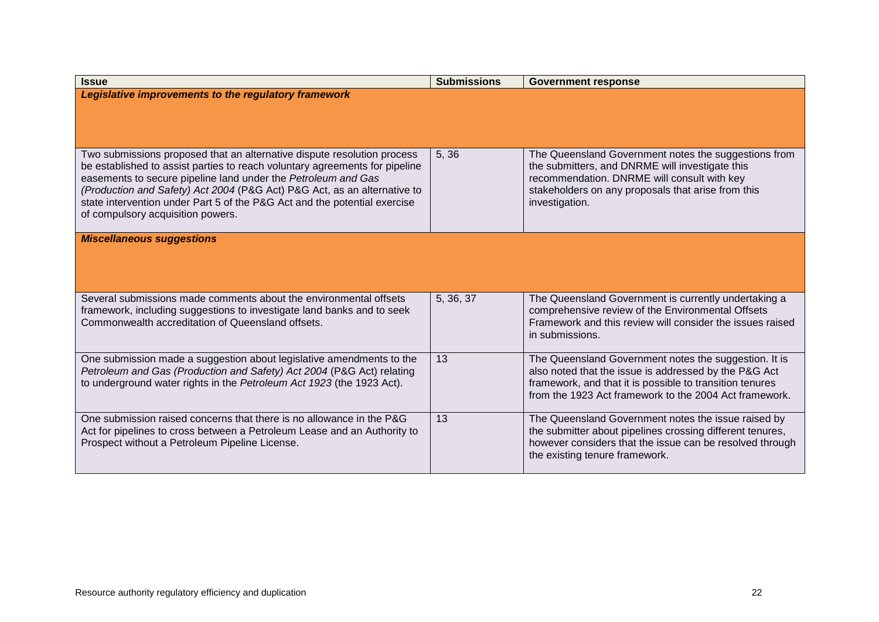| <b>Issue</b>                                                                                                                                                                                                                                                                                                                                                                                                          | <b>Submissions</b> | <b>Government response</b>                                                                                                                                                                                                           |
|-----------------------------------------------------------------------------------------------------------------------------------------------------------------------------------------------------------------------------------------------------------------------------------------------------------------------------------------------------------------------------------------------------------------------|--------------------|--------------------------------------------------------------------------------------------------------------------------------------------------------------------------------------------------------------------------------------|
| Legislative improvements to the regulatory framework                                                                                                                                                                                                                                                                                                                                                                  |                    |                                                                                                                                                                                                                                      |
| Two submissions proposed that an alternative dispute resolution process<br>be established to assist parties to reach voluntary agreements for pipeline<br>easements to secure pipeline land under the Petroleum and Gas<br>(Production and Safety) Act 2004 (P&G Act) P&G Act, as an alternative to<br>state intervention under Part 5 of the P&G Act and the potential exercise<br>of compulsory acquisition powers. | 5,36               | The Queensland Government notes the suggestions from<br>the submitters, and DNRME will investigate this<br>recommendation. DNRME will consult with key<br>stakeholders on any proposals that arise from this<br>investigation.       |
| <b>Miscellaneous suggestions</b>                                                                                                                                                                                                                                                                                                                                                                                      |                    |                                                                                                                                                                                                                                      |
| Several submissions made comments about the environmental offsets<br>framework, including suggestions to investigate land banks and to seek<br>Commonwealth accreditation of Queensland offsets.                                                                                                                                                                                                                      | 5, 36, 37          | The Queensland Government is currently undertaking a<br>comprehensive review of the Environmental Offsets<br>Framework and this review will consider the issues raised<br>in submissions.                                            |
| One submission made a suggestion about legislative amendments to the<br>Petroleum and Gas (Production and Safety) Act 2004 (P&G Act) relating<br>to underground water rights in the Petroleum Act 1923 (the 1923 Act).                                                                                                                                                                                                | 13                 | The Queensland Government notes the suggestion. It is<br>also noted that the issue is addressed by the P&G Act<br>framework, and that it is possible to transition tenures<br>from the 1923 Act framework to the 2004 Act framework. |
| One submission raised concerns that there is no allowance in the P&G<br>Act for pipelines to cross between a Petroleum Lease and an Authority to<br>Prospect without a Petroleum Pipeline License.                                                                                                                                                                                                                    | 13                 | The Queensland Government notes the issue raised by<br>the submitter about pipelines crossing different tenures,<br>however considers that the issue can be resolved through<br>the existing tenure framework.                       |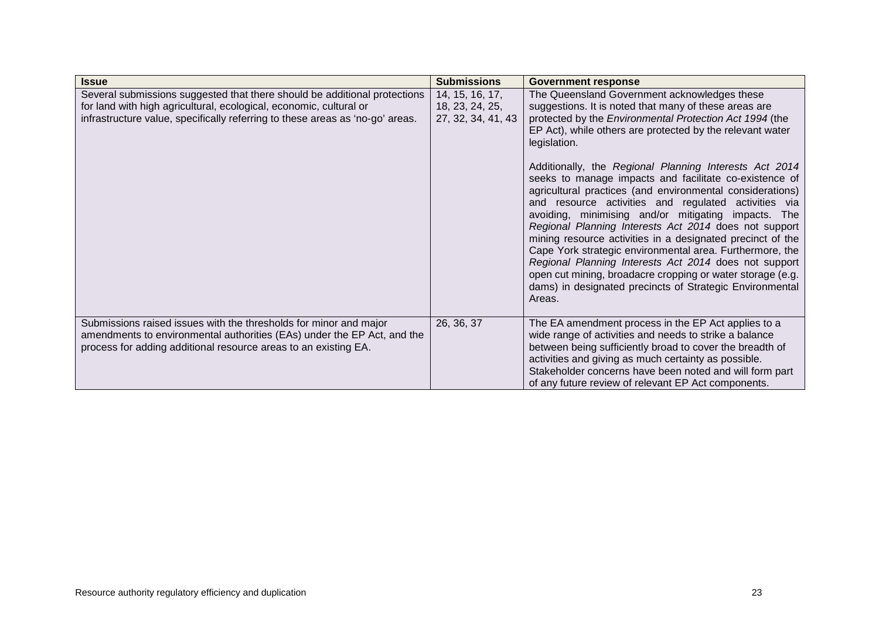| <b>Issue</b>                                                                                                                                                                                                                     | <b>Submissions</b>                                       | <b>Government response</b>                                                                                                                                                                                                                                                                                                                                                                                                                                                                                                                                                                                                                                                                                                                                                                                                                                                                                                       |
|----------------------------------------------------------------------------------------------------------------------------------------------------------------------------------------------------------------------------------|----------------------------------------------------------|----------------------------------------------------------------------------------------------------------------------------------------------------------------------------------------------------------------------------------------------------------------------------------------------------------------------------------------------------------------------------------------------------------------------------------------------------------------------------------------------------------------------------------------------------------------------------------------------------------------------------------------------------------------------------------------------------------------------------------------------------------------------------------------------------------------------------------------------------------------------------------------------------------------------------------|
| Several submissions suggested that there should be additional protections<br>for land with high agricultural, ecological, economic, cultural or<br>infrastructure value, specifically referring to these areas as 'no-go' areas. | 14, 15, 16, 17,<br>18, 23, 24, 25,<br>27, 32, 34, 41, 43 | The Queensland Government acknowledges these<br>suggestions. It is noted that many of these areas are<br>protected by the Environmental Protection Act 1994 (the<br>EP Act), while others are protected by the relevant water<br>legislation.<br>Additionally, the Regional Planning Interests Act 2014<br>seeks to manage impacts and facilitate co-existence of<br>agricultural practices (and environmental considerations)<br>and resource activities and regulated<br>activities via<br>avoiding, minimising and/or mitigating impacts. The<br>Regional Planning Interests Act 2014 does not support<br>mining resource activities in a designated precinct of the<br>Cape York strategic environmental area. Furthermore, the<br>Regional Planning Interests Act 2014 does not support<br>open cut mining, broadacre cropping or water storage (e.g.<br>dams) in designated precincts of Strategic Environmental<br>Areas. |
| Submissions raised issues with the thresholds for minor and major<br>amendments to environmental authorities (EAs) under the EP Act, and the<br>process for adding additional resource areas to an existing EA.                  | 26, 36, 37                                               | The EA amendment process in the EP Act applies to a<br>wide range of activities and needs to strike a balance<br>between being sufficiently broad to cover the breadth of<br>activities and giving as much certainty as possible.<br>Stakeholder concerns have been noted and will form part<br>of any future review of relevant EP Act components.                                                                                                                                                                                                                                                                                                                                                                                                                                                                                                                                                                              |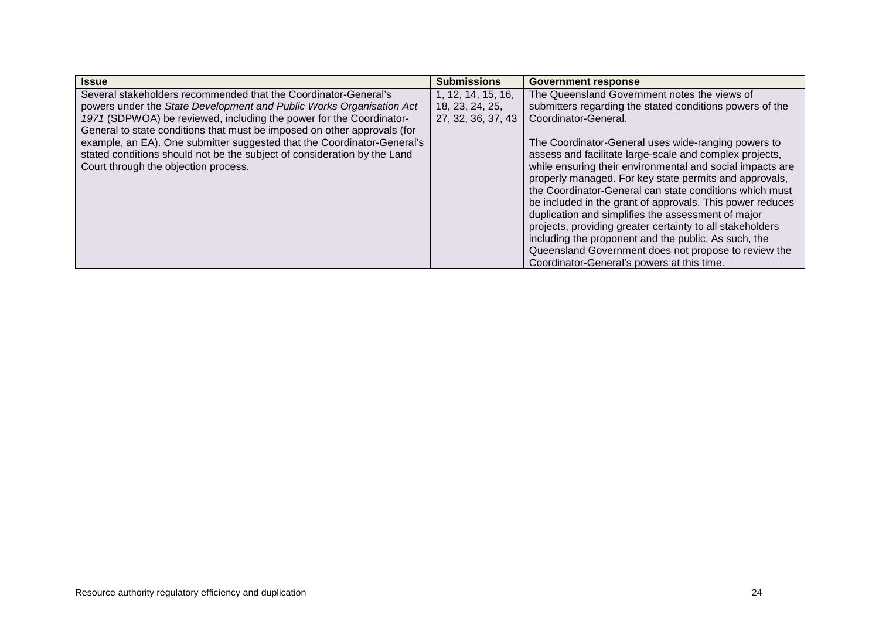| <b>Issue</b>                                                                                                                                                                                                                                                                                                                                                                                                                                                                              | <b>Submissions</b>                                          | <b>Government response</b>                                                                                                                                                                                                                                                                                                                                                                                                                                                                                                                                                                                                                                                                                                                                                         |
|-------------------------------------------------------------------------------------------------------------------------------------------------------------------------------------------------------------------------------------------------------------------------------------------------------------------------------------------------------------------------------------------------------------------------------------------------------------------------------------------|-------------------------------------------------------------|------------------------------------------------------------------------------------------------------------------------------------------------------------------------------------------------------------------------------------------------------------------------------------------------------------------------------------------------------------------------------------------------------------------------------------------------------------------------------------------------------------------------------------------------------------------------------------------------------------------------------------------------------------------------------------------------------------------------------------------------------------------------------------|
| Several stakeholders recommended that the Coordinator-General's<br>powers under the State Development and Public Works Organisation Act<br>1971 (SDPWOA) be reviewed, including the power for the Coordinator-<br>General to state conditions that must be imposed on other approvals (for<br>example, an EA). One submitter suggested that the Coordinator-General's<br>stated conditions should not be the subject of consideration by the Land<br>Court through the objection process. | 1, 12, 14, 15, 16,<br>18, 23, 24, 25,<br>27, 32, 36, 37, 43 | The Queensland Government notes the views of<br>submitters regarding the stated conditions powers of the<br>Coordinator-General.<br>The Coordinator-General uses wide-ranging powers to<br>assess and facilitate large-scale and complex projects,<br>while ensuring their environmental and social impacts are<br>properly managed. For key state permits and approvals,<br>the Coordinator-General can state conditions which must<br>be included in the grant of approvals. This power reduces<br>duplication and simplifies the assessment of major<br>projects, providing greater certainty to all stakeholders<br>including the proponent and the public. As such, the<br>Queensland Government does not propose to review the<br>Coordinator-General's powers at this time. |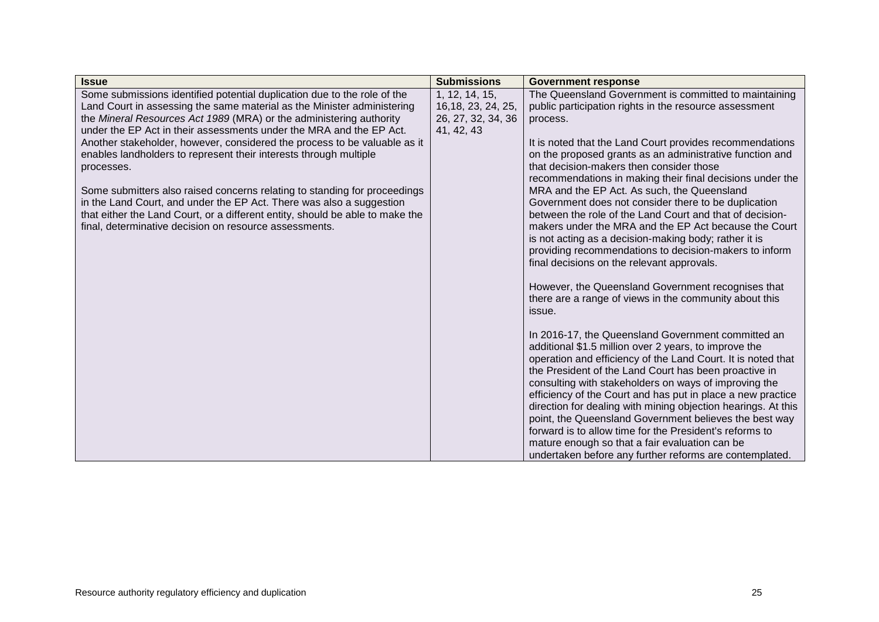| <b>Issue</b>                                                                  | <b>Submissions</b>  | <b>Government response</b>                                                                            |
|-------------------------------------------------------------------------------|---------------------|-------------------------------------------------------------------------------------------------------|
| Some submissions identified potential duplication due to the role of the      | 1, 12, 14, 15,      | The Queensland Government is committed to maintaining                                                 |
| Land Court in assessing the same material as the Minister administering       | 16, 18, 23, 24, 25, | public participation rights in the resource assessment                                                |
| the Mineral Resources Act 1989 (MRA) or the administering authority           | 26, 27, 32, 34, 36  | process.                                                                                              |
| under the EP Act in their assessments under the MRA and the EP Act.           | 41, 42, 43          |                                                                                                       |
| Another stakeholder, however, considered the process to be valuable as it     |                     | It is noted that the Land Court provides recommendations                                              |
| enables landholders to represent their interests through multiple             |                     | on the proposed grants as an administrative function and                                              |
| processes.                                                                    |                     | that decision-makers then consider those<br>recommendations in making their final decisions under the |
| Some submitters also raised concerns relating to standing for proceedings     |                     | MRA and the EP Act. As such, the Queensland                                                           |
| in the Land Court, and under the EP Act. There was also a suggestion          |                     | Government does not consider there to be duplication                                                  |
| that either the Land Court, or a different entity, should be able to make the |                     | between the role of the Land Court and that of decision-                                              |
| final, determinative decision on resource assessments.                        |                     | makers under the MRA and the EP Act because the Court                                                 |
|                                                                               |                     | is not acting as a decision-making body; rather it is                                                 |
|                                                                               |                     | providing recommendations to decision-makers to inform                                                |
|                                                                               |                     | final decisions on the relevant approvals.                                                            |
|                                                                               |                     |                                                                                                       |
|                                                                               |                     | However, the Queensland Government recognises that                                                    |
|                                                                               |                     | there are a range of views in the community about this                                                |
|                                                                               |                     | issue.                                                                                                |
|                                                                               |                     | In 2016-17, the Queensland Government committed an                                                    |
|                                                                               |                     | additional \$1.5 million over 2 years, to improve the                                                 |
|                                                                               |                     | operation and efficiency of the Land Court. It is noted that                                          |
|                                                                               |                     | the President of the Land Court has been proactive in                                                 |
|                                                                               |                     | consulting with stakeholders on ways of improving the                                                 |
|                                                                               |                     | efficiency of the Court and has put in place a new practice                                           |
|                                                                               |                     | direction for dealing with mining objection hearings. At this                                         |
|                                                                               |                     | point, the Queensland Government believes the best way                                                |
|                                                                               |                     | forward is to allow time for the President's reforms to                                               |
|                                                                               |                     | mature enough so that a fair evaluation can be                                                        |
|                                                                               |                     | undertaken before any further reforms are contemplated.                                               |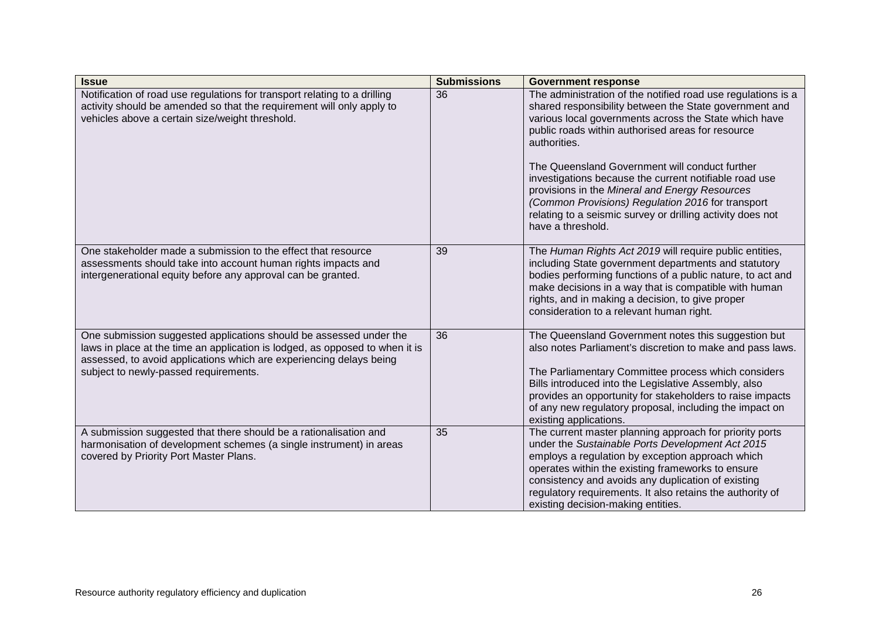| <b>Issue</b>                                                                                                                                                                                                                                                       | <b>Submissions</b> | <b>Government response</b>                                                                                                                                                                                                                                                                                                                                                                                                                                                                                                                                 |
|--------------------------------------------------------------------------------------------------------------------------------------------------------------------------------------------------------------------------------------------------------------------|--------------------|------------------------------------------------------------------------------------------------------------------------------------------------------------------------------------------------------------------------------------------------------------------------------------------------------------------------------------------------------------------------------------------------------------------------------------------------------------------------------------------------------------------------------------------------------------|
| Notification of road use regulations for transport relating to a drilling<br>activity should be amended so that the requirement will only apply to<br>vehicles above a certain size/weight threshold.                                                              | 36                 | The administration of the notified road use regulations is a<br>shared responsibility between the State government and<br>various local governments across the State which have<br>public roads within authorised areas for resource<br>authorities.<br>The Queensland Government will conduct further<br>investigations because the current notifiable road use<br>provisions in the Mineral and Energy Resources<br>(Common Provisions) Regulation 2016 for transport<br>relating to a seismic survey or drilling activity does not<br>have a threshold. |
| One stakeholder made a submission to the effect that resource<br>assessments should take into account human rights impacts and<br>intergenerational equity before any approval can be granted.                                                                     | 39                 | The Human Rights Act 2019 will require public entities,<br>including State government departments and statutory<br>bodies performing functions of a public nature, to act and<br>make decisions in a way that is compatible with human<br>rights, and in making a decision, to give proper<br>consideration to a relevant human right.                                                                                                                                                                                                                     |
| One submission suggested applications should be assessed under the<br>laws in place at the time an application is lodged, as opposed to when it is<br>assessed, to avoid applications which are experiencing delays being<br>subject to newly-passed requirements. | 36                 | The Queensland Government notes this suggestion but<br>also notes Parliament's discretion to make and pass laws.<br>The Parliamentary Committee process which considers<br>Bills introduced into the Legislative Assembly, also<br>provides an opportunity for stakeholders to raise impacts<br>of any new regulatory proposal, including the impact on<br>existing applications.                                                                                                                                                                          |
| A submission suggested that there should be a rationalisation and<br>harmonisation of development schemes (a single instrument) in areas<br>covered by Priority Port Master Plans.                                                                                 | 35                 | The current master planning approach for priority ports<br>under the Sustainable Ports Development Act 2015<br>employs a regulation by exception approach which<br>operates within the existing frameworks to ensure<br>consistency and avoids any duplication of existing<br>regulatory requirements. It also retains the authority of<br>existing decision-making entities.                                                                                                                                                                              |